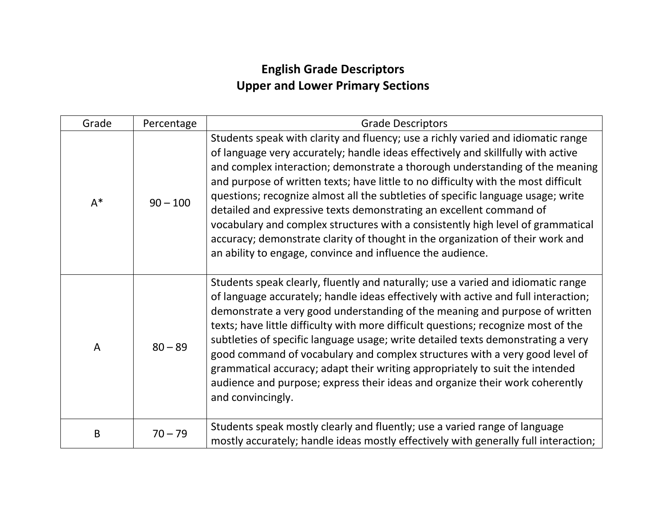## **English Grade Descriptors Upper and Lower Primary Sections**

| Grade   | Percentage | <b>Grade Descriptors</b>                                                                                                                                                                                                                                                                                                                                                                                                                                                                                                                                                                                                                                                                                                                 |
|---------|------------|------------------------------------------------------------------------------------------------------------------------------------------------------------------------------------------------------------------------------------------------------------------------------------------------------------------------------------------------------------------------------------------------------------------------------------------------------------------------------------------------------------------------------------------------------------------------------------------------------------------------------------------------------------------------------------------------------------------------------------------|
| $A^*$   | $90 - 100$ | Students speak with clarity and fluency; use a richly varied and idiomatic range<br>of language very accurately; handle ideas effectively and skillfully with active<br>and complex interaction; demonstrate a thorough understanding of the meaning<br>and purpose of written texts; have little to no difficulty with the most difficult<br>questions; recognize almost all the subtleties of specific language usage; write<br>detailed and expressive texts demonstrating an excellent command of<br>vocabulary and complex structures with a consistently high level of grammatical<br>accuracy; demonstrate clarity of thought in the organization of their work and<br>an ability to engage, convince and influence the audience. |
| A       | $80 - 89$  | Students speak clearly, fluently and naturally; use a varied and idiomatic range<br>of language accurately; handle ideas effectively with active and full interaction;<br>demonstrate a very good understanding of the meaning and purpose of written<br>texts; have little difficulty with more difficult questions; recognize most of the<br>subtleties of specific language usage; write detailed texts demonstrating a very<br>good command of vocabulary and complex structures with a very good level of<br>grammatical accuracy; adapt their writing appropriately to suit the intended<br>audience and purpose; express their ideas and organize their work coherently<br>and convincingly.                                      |
| $\sf B$ | $70 - 79$  | Students speak mostly clearly and fluently; use a varied range of language<br>mostly accurately; handle ideas mostly effectively with generally full interaction;                                                                                                                                                                                                                                                                                                                                                                                                                                                                                                                                                                        |